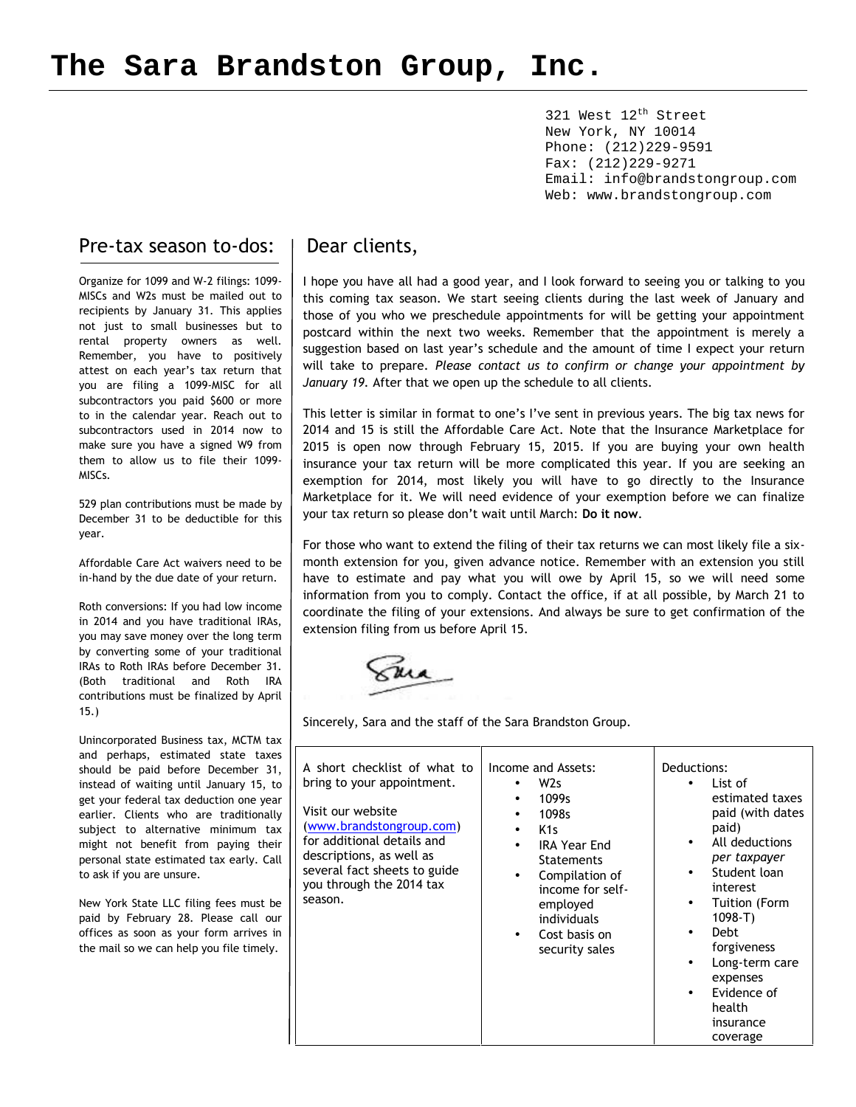321 West 12<sup>th</sup> Street New York, NY 10014 Phone: (212)229-9591 Fax: (212)229-9271 Email: info@brandstongroup.com Web: www.brandstongroup.com

### Pre-tax season to-dos:

Organize for 1099 and W-2 filings: 1099- MISCs and W2s must be mailed out to recipients by January 31. This applies not just to small businesses but to rental property owners as well. Remember, you have to positively attest on each year's tax return that you are filing a 1099-MISC for all subcontractors you paid \$600 or more to in the calendar year. Reach out to subcontractors used in 2014 now to make sure you have a signed W9 from them to allow us to file their 1099- MISCs.

529 plan contributions must be made by December 31 to be deductible for this year.

Affordable Care Act waivers need to be in-hand by the due date of your return.

Roth conversions: If you had low income in 2014 and you have traditional IRAs, you may save money over the long term by converting some of your traditional IRAs to Roth IRAs before December 31. (Both traditional and Roth IRA contributions must be finalized by April 15.)

Unincorporated Business tax, MCTM tax and perhaps, estimated state taxes should be paid before December 31, instead of waiting until January 15, to get your federal tax deduction one year earlier. Clients who are traditionally subject to alternative minimum tax might not benefit from paying their personal state estimated tax early. Call to ask if you are unsure.

New York State LLC filing fees must be paid by February 28. Please call our offices as soon as your form arrives in the mail so we can help you file timely.

## Dear clients,

I hope you have all had a good year, and I look forward to seeing you or talking to you this coming tax season. We start seeing clients during the last week of January and those of you who we preschedule appointments for will be getting your appointment postcard within the next two weeks. Remember that the appointment is merely a suggestion based on last year's schedule and the amount of time I expect your return will take to prepare. *Please contact us to confirm or change your appointment by January 19.* After that we open up the schedule to all clients.

This letter is similar in format to one's I've sent in previous years. The big tax news for 2014 and 15 is still the Affordable Care Act. Note that the Insurance Marketplace for 2015 is open now through February 15, 2015. If you are buying your own health insurance your tax return will be more complicated this year. If you are seeking an exemption for 2014, most likely you will have to go directly to the Insurance Marketplace for it. We will need evidence of your exemption before we can finalize your tax return so please don't wait until March: **Do it now**.

For those who want to extend the filing of their tax returns we can most likely file a six month extension for you, given advance notice. Remember with an extension you still have to estimate and pay what you will owe by April 15, so we will need some information from you to comply. Contact the office, if at all possible, by March 21 to coordinate the filing of your extensions. And always be sure to get confirmation of the extension filing from us before April 15.

Sincerely, Sara and the staff of the Sara Brandston Group.

| A short checklist of what to<br>bring to your appointment.<br>Visit our website<br>(www.brandstongroup.com)<br>for additional details and<br>descriptions, as well as<br>several fact sheets to guide<br>you through the 2014 tax<br>season. | Income and Assets:<br>W <sub>2s</sub><br>1099s<br>$\bullet$<br>1098s<br>$\bullet$<br>K <sub>1s</sub><br>$\bullet$<br><b>IRA Year End</b><br><b>Statements</b><br>Compilation of<br>$\bullet$<br>income for self-<br>employed<br>individuals<br>Cost basis on<br>$\bullet$<br>security sales | Deductions:<br>List of<br>estimated taxes<br>paid (with dates<br>paid)<br>All deductions<br>$\bullet$<br>per taxpayer<br>Student loan<br>$\bullet$<br>interest<br><b>Tuition (Form</b><br>$\bullet$<br>$1098 - T$<br><b>Debt</b><br>$\bullet$<br>forgiveness<br>Long-term care<br>$\bullet$<br>expenses<br>Evidence of<br>$\bullet$<br>health<br>insurance<br>coverage |
|----------------------------------------------------------------------------------------------------------------------------------------------------------------------------------------------------------------------------------------------|---------------------------------------------------------------------------------------------------------------------------------------------------------------------------------------------------------------------------------------------------------------------------------------------|------------------------------------------------------------------------------------------------------------------------------------------------------------------------------------------------------------------------------------------------------------------------------------------------------------------------------------------------------------------------|
|----------------------------------------------------------------------------------------------------------------------------------------------------------------------------------------------------------------------------------------------|---------------------------------------------------------------------------------------------------------------------------------------------------------------------------------------------------------------------------------------------------------------------------------------------|------------------------------------------------------------------------------------------------------------------------------------------------------------------------------------------------------------------------------------------------------------------------------------------------------------------------------------------------------------------------|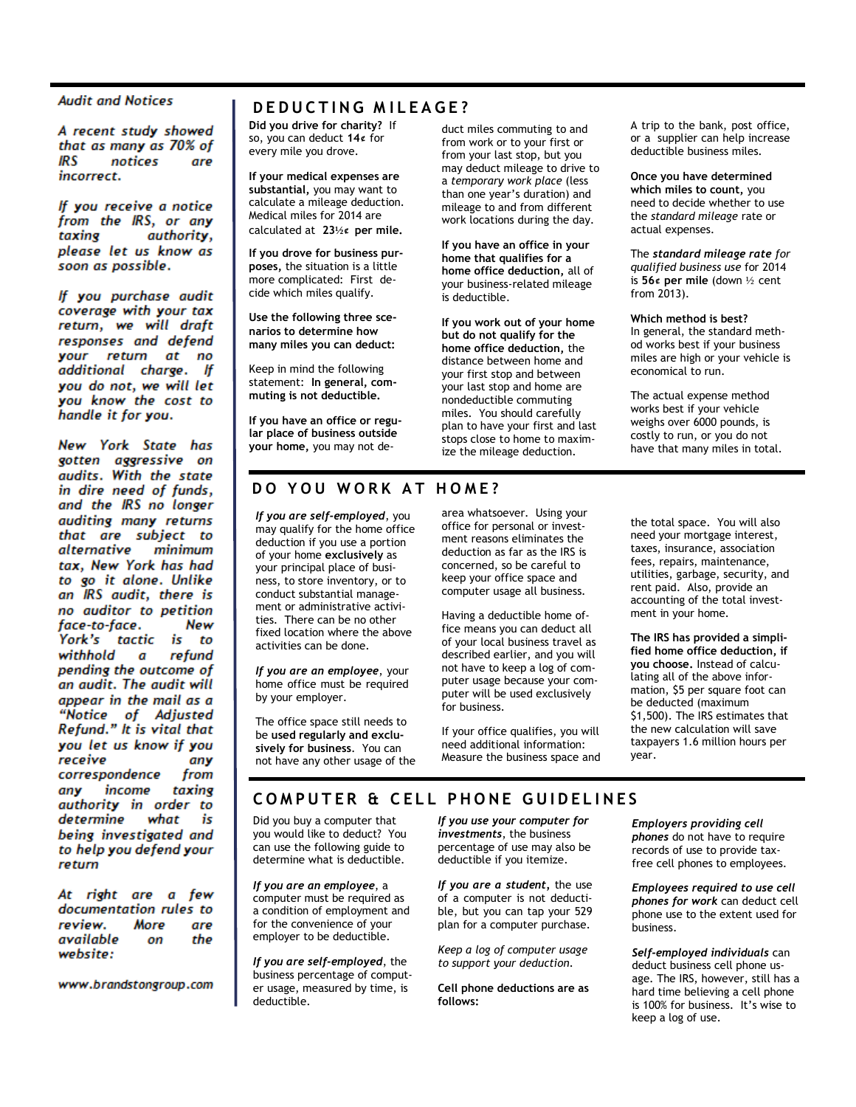#### **Audit and Notices**

A recent study showed that as many as 70% of **IRS** notices are incorrect.

If you receive a notice from the IRS, or any taxing authority, please let us know as soon as possible.

If you purchase audit coverage with your tax return, we will draft responses and defend your return at no additional charge. If you do not, we will let you know the cost to handle it for you.

New York State has gotten aggressive on audits. With the state in dire need of funds, and the IRS no longer auditing many returns that are subject to alternative minimum tax, New York has had to go it alone. Unlike an IRS audit, there is no auditor to petition face-to-face. New York's tactic is to withhold refund  $\boldsymbol{a}$ pending the outcome of an audit. The audit will appear in the mail as a "Notice of Adjusted Refund." It is vital that you let us know if you receive any correspondence from any income taxing authority in order to determine what is being investigated and to help you defend your return

At right are a few documentation rules to review. More are available the on website:

www.brandstongroup.com

### $D$  **EDUCTING** MILEAGE?

**Did you drive for charity?** If so, you can deduct **14¢** for every mile you drove.

**If your medical expenses are substantial,** you may want to calculate a mileage deduction. Medical miles for 2014 are calculated at**23½¢ per mile.**

**If you drove for business pur poses**, the situation is a little more complicated: First de cide which miles qualify.

**Use the following three sce narios to determine how many miles you can deduct:**

Keep in mind the following statement: **In general, com muting is not deductible.**

**If you have an office or regular place of business outside your home,** you may not deduct miles commuting to and from work or to your first or from your last stop, but you may deduct mileage to drive to a *temporary work place* (less than one year's duration) and mileage to and from different work locations during the day.

**If you have an office in your home that qualifies for a home office deduction,** all of your business-related mileage is deductible.

**If you work out of your home but do not qualify for the home office deduction,** the distance between home and your first stop and between your last stop and home are nondeductible commuting miles. You should carefully plan to have your first and last stops close to home to maximize the mileage deduction.

A trip to the bank, post office, or a supplier can help increase deductible business miles.

**Once you have determined which miles to count,** you need to decide whether to use the *standard* mileage rate or actual expenses.

The *standard mileage rate for qualified business use* for 2014 is **56¢ per mile** (down ½ cent from 2013).

**Which method is best?** In general, the standard meth od works best if your business miles are high or your vehicle is economical to run.

The actual expense method works best if your vehicle weighs over 6000 pounds, is costly to run, or you do not have that many miles in total.

### **D O Y O U W O R K A T H O M E ?**

*If you are self-employed*, you may qualify for the home office deduction if you use a portion of your home **exclusively** as your principal place of business, to store inventory, or to conduct substantial manage ment or administrative activi ties. There can be no other fixed location where the above activities can be done.

*If you are an employee*, your home office must be required by your employer.

The office space still needs to be **used regularly and exclu sively for business**. You can not have any other usage of the

area whatsoever. Using your office for personal or invest ment reasons eliminates the deduction as far as the IRS is concerned, so be careful to keep your office space and computer usage all business.

Having a deductible home of fice means you can deduct all of your local business travel as<br>described earlier, and you will not have to keep a log of computer usage because your com puter will be used exclusively for business.

If your office qualifies, you will Measure the business space and the total space. You will also need your mortgage interest, taxes, insurance, association fees, repairs, maintenance, utilities, garbage, security, and rent paid. Also, provide an accounting of the total invest ment in your home.

**The IRS has provided a simpli fied home office deduction, if you choose.** Instead of calculating all of the above infor mation, \$5 per square foot can be deducted (maximum \$1,500). The IRS estimates that the new calculation will save taxpayers 1.6 million hours per year.

### **COMPUTER & CELL PHONE GUIDELINES**

Did you buy a computer that you would like to deduct? You can use the following guide to determine what is deductible.

*If you are an employee*, a computer must be required as a condition of employment and for the convenience of your employer to be deductible.

*If you are self-employed*, the business percentage of comput er usage, measured by time, is deductible.

*If you use your computer for investments*, the business percentage of use may also be deductible if you itemize.

*If you are a student,* the use of a computer is not deducti ble, but you can tap your 529 plan for a computer purchase.

*Keep a log of computer usage to support your deduction.*

**Cell phone deductions are as follows:**

*Employers providing cell phones* do not have to require records of use to provide tax free cell phones to employees.

*Employees required to use cell phones for work* can deduct cell phone use to the extent used for business.

*Self-employed individuals* can deduct business cell phone us age. The IRS, however, still has a hard time believing a cell phone is 100% for business. It's wise to keep a log of use.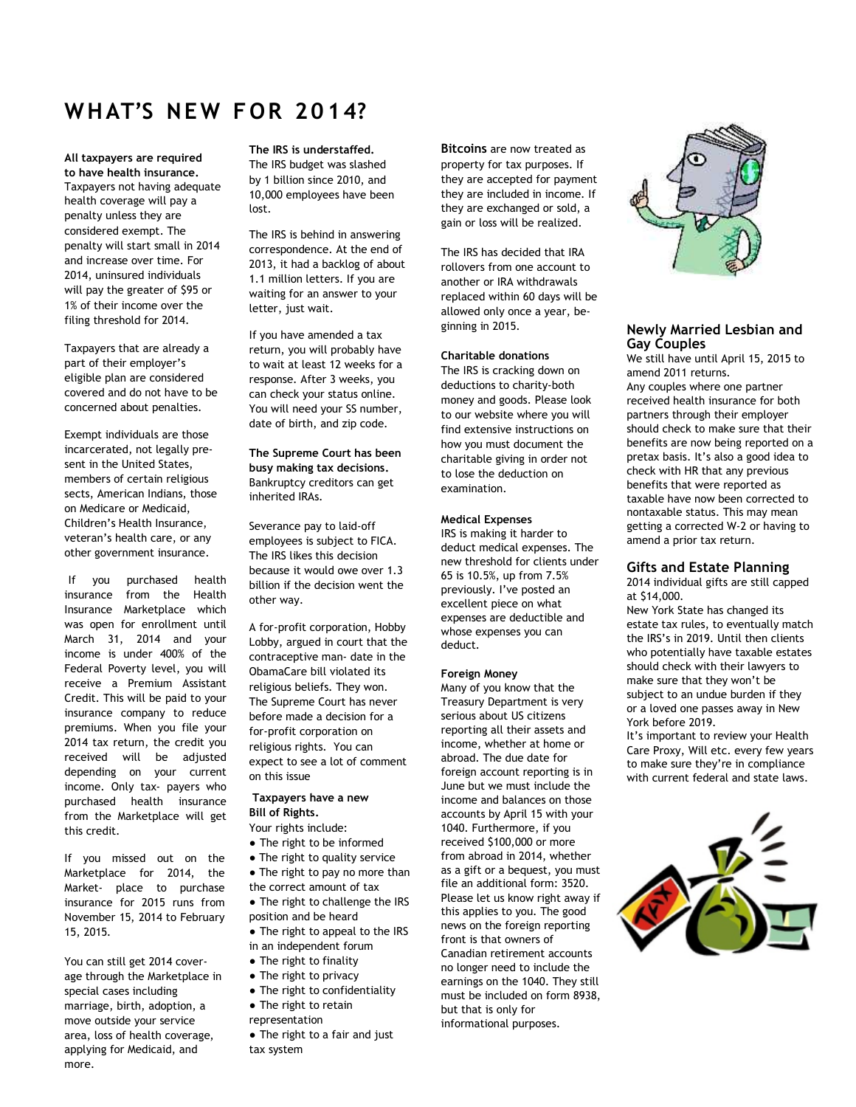## **WHAT'S NE W F OR 20 14?**

**All taxpayers are required to have health insurance.** Taxpayers not having adequate health coverage will pay a penalty unless they are considered exempt. The penalty will start small in 2014 and increase over time. For 2014, uninsured individuals will pay the greater of \$95 or 1% of their income over the filing threshold for 2014.

Taxpayers that are already a part of their employer's eligible plan are considered covered and do not have to be concerned about penalties.

Exempt individuals are those incarcerated, not legally pre sent in the United States, members of certain religious sects, American Indians, those on Medicare or Medicaid, Children's Health Insurance, veteran's health care, or any other government insurance.

If you purchased health insurance from the Health Insurance Marketplace which was open for enrollment until March 31, 2014 and your income is under 400% of the Federal Poverty level, you will receive a Premium Assistant Credit. This will be paid to your insurance company to reduce premiums. When you file your 2014 tax return, the credit you received will be adjusted depending on your current income. Only tax- payers who purchased health insurance from the Marketplace will get this credit.

If you missed out on the Marketplace for 2014, the Market- place to purchase insurance for 2015 runs from November 15, 2014 to February 15, 2015.

You can still get 2014 coverage through the Marketplace in special cases including marriage, birth, adoption, a move outside your service area, loss of health coverage, applying for Medicaid, and more.

**The IRS is understaffed.** The IRS budget was slashed by 1 billion since 2010, and 10,000 employees have been lost.

The IRS is behind in answering correspondence. At the end of 2013, it had a backlog of about 1.1 million letters. If you are waiting for an answer to your letter, just wait.

If you have amended a tax return, you will probably have to wait at least 12 weeks for a response. After 3 weeks, you can check your status online. You will need your SS number, date of birth, and zip code.

**The Supreme Court has been busy making tax decisions.** Bankruptcy creditors can get inherited IRAs.

Severance pay to laid-off employees is subject to FICA. The IRS likes this decision because it would owe over 1.3 billion if the decision went the other way.

A for-profit corporation, Hobby Lobby, argued in court that the contraceptive man- date in the ObamaCare bill violated its religious beliefs. They won. The Supreme Court has never before made a decision for a for-profit corporation on religious rights. You can expect to see a lot of comment on this issue

**Taxpayers have a new Bill of Rights.**

- Your rights include:
- The right to be informed
- The right to quality service
- The right to pay no more than the correct amount of tax
- The right to challenge the IRS position and be heard
- The right to appeal to the IRS in an independent forum
- The right to finality
- 
- The right to privacy ● The right to confidentiality
- The right to retain
- representation
- The right to a fair and just tax system

**Bitcoins** are now treated as property for tax purposes. If they are accepted for payment they are included in income. If they are exchanged or sold, a gain or loss will be realized.

The IRS has decided that IRA rollovers from one account to another or IRA withdrawals replaced within 60 days will be allowed only once a year, be ginning in 2015.

#### **Charitable donations**

The IRS is cracking down on deductions to charity-both money and goods. Please look to our website where you will find extensive instructions on how you must document the charitable giving in order not to lose the deduction on examination.

#### **Medical Expenses**

IRS is making it harder to deduct medical expenses. The new threshold for clients under 65 is 10.5%, up from 7.5% previously. I've posted an excellent piece on what expenses are deductible and whose expenses you can deduct.

#### **Foreign Money**

Many of you know that the Treasury Department is very serious about US citizens reporting all their assets and income, whether at home or abroad. The due date for foreign account reporting is in June but we must include the income and balances on those accounts by April 15 with your 1040. Furthermore, if you received \$100,000 or more from abroad in 2014, whether as a gift or a bequest, you must file an additional form: 3520. Please let us know right away if this applies to you. The good news on the foreign reporting front is that owners of Canadian retirement accounts no longer need to include the earnings on the 1040. They still must be included on form 8938, but that is only for informational purposes.



#### **Newly Married Lesbian and Gay Couples**

We still have until April 15, 2015 to amend 2011 returns. Any couples where one partner received health insurance for both partners through their employer should check to make sure that their benefits are now being reported on a pretax basis. It's also a good idea to check with HR that any previous benefits that were reported as taxable have now been corrected to nontaxable status. This may mean getting a corrected W-2 or having to amend a prior tax return.

#### **Gifts and Estate Planning**

2014 individual gifts are still capped at \$14,000.

New York State has changed its estate tax rules, to eventually match the IRS's in 2019. Until then clients who potentially have taxable estates should check with their lawyers to make sure that they won't be subject to an undue burden if they or a loved one passes away in New York before 2019.

It's important to review your Health Care Proxy, Will etc. every few years to make sure they're in compliance with current federal and state laws.